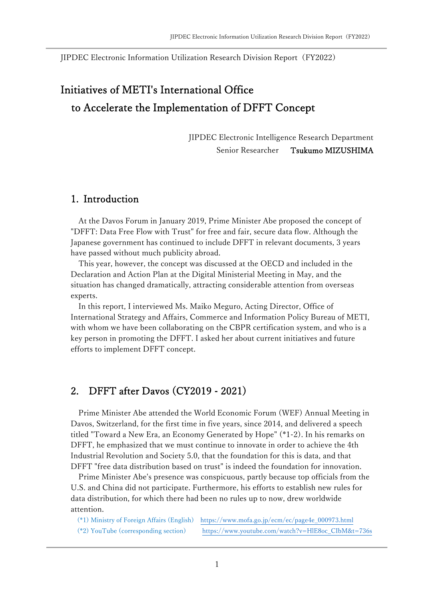JIPDEC Electronic Information Utilization Research Division Report(FY2022)

# Initiatives of METI's International Office to Accelerate the Implementation of DFFT Concept

JIPDEC Electronic Intelligence Research Department Senior Researcher Tsukumo MIZUSHIMA

#### 1. Introduction

At the Davos Forum in January 2019, Prime Minister Abe proposed the concept of "DFFT: Data Free Flow with Trust" for free and fair, secure data flow. Although the Japanese government has continued to include DFFT in relevant documents, 3 years have passed without much publicity abroad.

This year, however, the concept was discussed at the OECD and included in the Declaration and Action Plan at the Digital Ministerial Meeting in May, and the situation has changed dramatically, attracting considerable attention from overseas experts.

In this report, I interviewed Ms. Maiko Meguro, Acting Director, Office of International Strategy and Affairs, Commerce and Information Policy Bureau of METI, with whom we have been collaborating on the CBPR certification system, and who is a key person in promoting the DFFT. I asked her about current initiatives and future efforts to implement DFFT concept.

### 2. DFFT after Davos (CY2019 - 2021)

Prime Minister Abe attended the World Economic Forum (WEF) Annual Meeting in Davos, Switzerland, for the first time in five years, since 2014, and delivered a speech titled "Toward a New Era, an Economy Generated by Hope" (\*1-2). In his remarks on DFFT, he emphasized that we must continue to innovate in order to achieve the 4th Industrial Revolution and Society 5.0, that the foundation for this is data, and that DFFT "free data distribution based on trust" is indeed the foundation for innovation.

Prime Minister Abe's presence was conspicuous, partly because top officials from the U.S. and China did not participate. Furthermore, his efforts to establish new rules for data distribution, for which there had been no rules up to now, drew worldwide attention.

 (\*1) Ministry of Foreign Affairs (English) https://www.mofa.go.jp/ecm/ec/page4e\_000973.html (\*2) YouTube (corresponding section) https://www.youtube.com/watch?v=HlE8oc\_CIbM&t=736s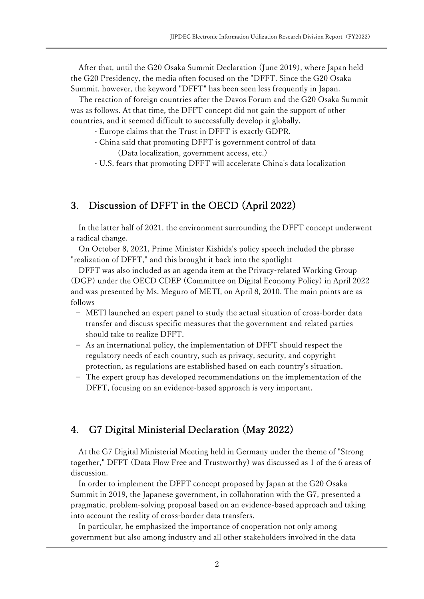After that, until the G20 Osaka Summit Declaration (June 2019), where Japan held the G20 Presidency, the media often focused on the "DFFT. Since the G20 Osaka Summit, however, the keyword "DFFT" has been seen less frequently in Japan.

The reaction of foreign countries after the Davos Forum and the G20 Osaka Summit was as follows. At that time, the DFFT concept did not gain the support of other countries, and it seemed difficult to successfully develop it globally.

- Europe claims that the Trust in DFFT is exactly GDPR.
- China said that promoting DFFT is government control of data (Data localization, government access, etc.)
- U.S. fears that promoting DFFT will accelerate China's data localization

# 3. Discussion of DFFT in the OECD (April 2022)

In the latter half of 2021, the environment surrounding the DFFT concept underwent a radical change.

On October 8, 2021, Prime Minister Kishida's policy speech included the phrase "realization of DFFT," and this brought it back into the spotlight

DFFT was also included as an agenda item at the Privacy-related Working Group (DGP) under the OECD CDEP (Committee on Digital Economy Policy) in April 2022 and was presented by Ms. Meguro of METI, on April 8, 2010. The main points are as follows

- − METI launched an expert panel to study the actual situation of cross-border data transfer and discuss specific measures that the government and related parties should take to realize DFFT.
- As an international policy, the implementation of DFFT should respect the regulatory needs of each country, such as privacy, security, and copyright protection, as regulations are established based on each country's situation.
- The expert group has developed recommendations on the implementation of the DFFT, focusing on an evidence-based approach is very important.

### 4. G7 Digital Ministerial Declaration (May 2022)

At the G7 Digital Ministerial Meeting held in Germany under the theme of "Strong together," DFFT (Data Flow Free and Trustworthy) was discussed as 1 of the 6 areas of discussion.

In order to implement the DFFT concept proposed by Japan at the G20 Osaka Summit in 2019, the Japanese government, in collaboration with the G7, presented a pragmatic, problem-solving proposal based on an evidence-based approach and taking into account the reality of cross-border data transfers.

In particular, he emphasized the importance of cooperation not only among government but also among industry and all other stakeholders involved in the data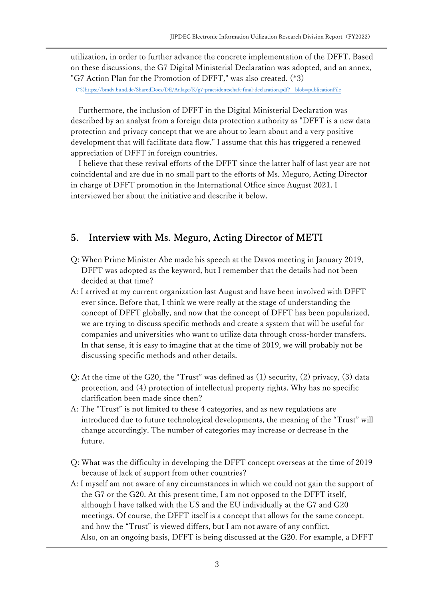utilization, in order to further advance the concrete implementation of the DFFT. Based on these discussions, the G7 Digital Ministerial Declaration was adopted, and an annex, "G7 Action Plan for the Promotion of DFFT," was also created. (\*3)

(\*3)https://bmdv.bund.de/SharedDocs/DE/Anlage/K/g7-praesidentschaft-final-declaration.pdf?\_\_blob=publicationFile

Furthermore, the inclusion of DFFT in the Digital Ministerial Declaration was described by an analyst from a foreign data protection authority as "DFFT is a new data protection and privacy concept that we are about to learn about and a very positive development that will facilitate data flow." I assume that this has triggered a renewed appreciation of DFFT in foreign countries.

I believe that these revival efforts of the DFFT since the latter half of last year are not coincidental and are due in no small part to the efforts of Ms. Meguro, Acting Director in charge of DFFT promotion in the International Office since August 2021. I interviewed her about the initiative and describe it below.

#### 5. Interview with Ms. Meguro, Acting Director of METI

- Q: When Prime Minister Abe made his speech at the Davos meeting in January 2019, DFFT was adopted as the keyword, but I remember that the details had not been decided at that time?
- A: I arrived at my current organization last August and have been involved with DFFT ever since. Before that, I think we were really at the stage of understanding the concept of DFFT globally, and now that the concept of DFFT has been popularized, we are trying to discuss specific methods and create a system that will be useful for companies and universities who want to utilize data through cross-border transfers. In that sense, it is easy to imagine that at the time of 2019, we will probably not be discussing specific methods and other details.
- Q: At the time of the G20, the "Trust" was defined as (1) security, (2) privacy, (3) data protection, and (4) protection of intellectual property rights. Why has no specific clarification been made since then?
- A: The "Trust" is not limited to these 4 categories, and as new regulations are introduced due to future technological developments, the meaning of the "Trust" will change accordingly. The number of categories may increase or decrease in the future.
- Q: What was the difficulty in developing the DFFT concept overseas at the time of 2019 because of lack of support from other countries?
- A: I myself am not aware of any circumstances in which we could not gain the support of the G7 or the G20. At this present time, I am not opposed to the DFFT itself, although I have talked with the US and the EU individually at the G7 and G20 meetings. Of course, the DFFT itself is a concept that allows for the same concept, and how the "Trust" is viewed differs, but I am not aware of any conflict. Also, on an ongoing basis, DFFT is being discussed at the G20. For example, a DFFT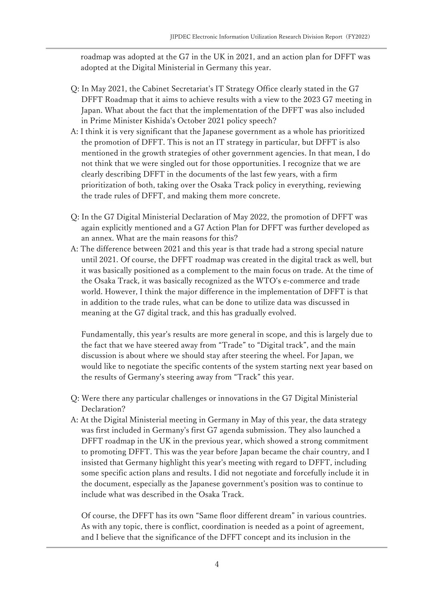roadmap was adopted at the G7 in the UK in 2021, and an action plan for DFFT was adopted at the Digital Ministerial in Germany this year.

- Q: In May 2021, the Cabinet Secretariat's IT Strategy Office clearly stated in the G7 DFFT Roadmap that it aims to achieve results with a view to the 2023 G7 meeting in Japan. What about the fact that the implementation of the DFFT was also included in Prime Minister Kishida's October 2021 policy speech?
- A: I think it is very significant that the Japanese government as a whole has prioritized the promotion of DFFT. This is not an IT strategy in particular, but DFFT is also mentioned in the growth strategies of other government agencies. In that mean, I do not think that we were singled out for those opportunities. I recognize that we are clearly describing DFFT in the documents of the last few years, with a firm prioritization of both, taking over the Osaka Track policy in everything, reviewing the trade rules of DFFT, and making them more concrete.
- Q: In the G7 Digital Ministerial Declaration of May 2022, the promotion of DFFT was again explicitly mentioned and a G7 Action Plan for DFFT was further developed as an annex. What are the main reasons for this?
- A: The difference between 2021 and this year is that trade had a strong special nature until 2021. Of course, the DFFT roadmap was created in the digital track as well, but it was basically positioned as a complement to the main focus on trade. At the time of the Osaka Track, it was basically recognized as the WTO's e-commerce and trade world. However, I think the major difference in the implementation of DFFT is that in addition to the trade rules, what can be done to utilize data was discussed in meaning at the G7 digital track, and this has gradually evolved.

Fundamentally, this year's results are more general in scope, and this is largely due to the fact that we have steered away from "Trade" to "Digital track", and the main discussion is about where we should stay after steering the wheel. For Japan, we would like to negotiate the specific contents of the system starting next year based on the results of Germany's steering away from "Track" this year.

- Q: Were there any particular challenges or innovations in the G7 Digital Ministerial Declaration?
- A: At the Digital Ministerial meeting in Germany in May of this year, the data strategy was first included in Germany's first G7 agenda submission. They also launched a DFFT roadmap in the UK in the previous year, which showed a strong commitment to promoting DFFT. This was the year before Japan became the chair country, and I insisted that Germany highlight this year's meeting with regard to DFFT, including some specific action plans and results. I did not negotiate and forcefully include it in the document, especially as the Japanese government's position was to continue to include what was described in the Osaka Track.

Of course, the DFFT has its own "Same floor different dream" in various countries. As with any topic, there is conflict, coordination is needed as a point of agreement, and I believe that the significance of the DFFT concept and its inclusion in the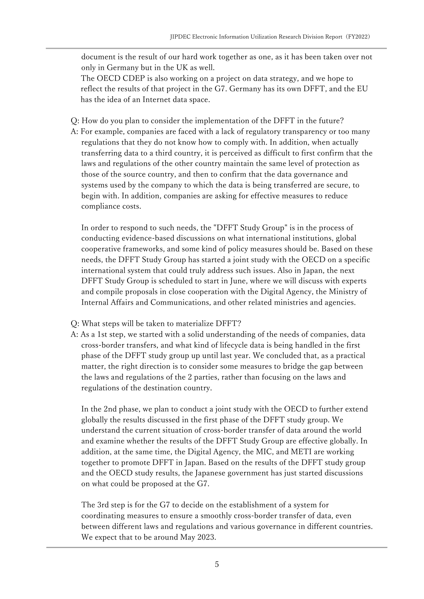document is the result of our hard work together as one, as it has been taken over not only in Germany but in the UK as well.

The OECD CDEP is also working on a project on data strategy, and we hope to reflect the results of that project in the G7. Germany has its own DFFT, and the EU has the idea of an Internet data space.

- Q: How do you plan to consider the implementation of the DFFT in the future?
- A: For example, companies are faced with a lack of regulatory transparency or too many regulations that they do not know how to comply with. In addition, when actually transferring data to a third country, it is perceived as difficult to first confirm that the laws and regulations of the other country maintain the same level of protection as those of the source country, and then to confirm that the data governance and systems used by the company to which the data is being transferred are secure, to begin with. In addition, companies are asking for effective measures to reduce compliance costs.

In order to respond to such needs, the "DFFT Study Group" is in the process of conducting evidence-based discussions on what international institutions, global cooperative frameworks, and some kind of policy measures should be. Based on these needs, the DFFT Study Group has started a joint study with the OECD on a specific international system that could truly address such issues. Also in Japan, the next DFFT Study Group is scheduled to start in June, where we will discuss with experts and compile proposals in close cooperation with the Digital Agency, the Ministry of Internal Affairs and Communications, and other related ministries and agencies.

- Q: What steps will be taken to materialize DFFT?
- A: As a 1st step, we started with a solid understanding of the needs of companies, data cross-border transfers, and what kind of lifecycle data is being handled in the first phase of the DFFT study group up until last year. We concluded that, as a practical matter, the right direction is to consider some measures to bridge the gap between the laws and regulations of the 2 parties, rather than focusing on the laws and regulations of the destination country.

In the 2nd phase, we plan to conduct a joint study with the OECD to further extend globally the results discussed in the first phase of the DFFT study group. We understand the current situation of cross-border transfer of data around the world and examine whether the results of the DFFT Study Group are effective globally. In addition, at the same time, the Digital Agency, the MIC, and METI are working together to promote DFFT in Japan. Based on the results of the DFFT study group and the OECD study results, the Japanese government has just started discussions on what could be proposed at the G7.

The 3rd step is for the G7 to decide on the establishment of a system for coordinating measures to ensure a smoothly cross-border transfer of data, even between different laws and regulations and various governance in different countries. We expect that to be around May 2023.